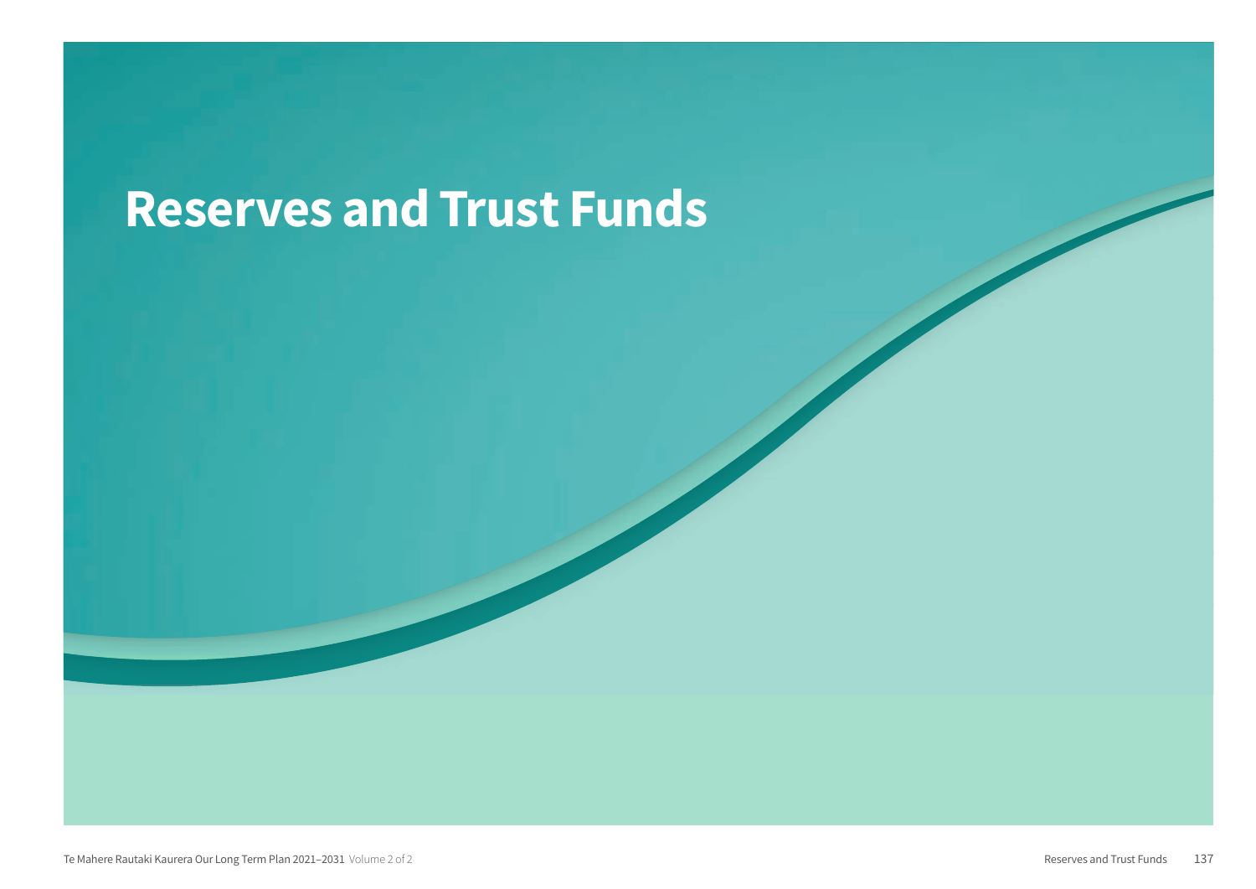## **Reserves and Trust Funds**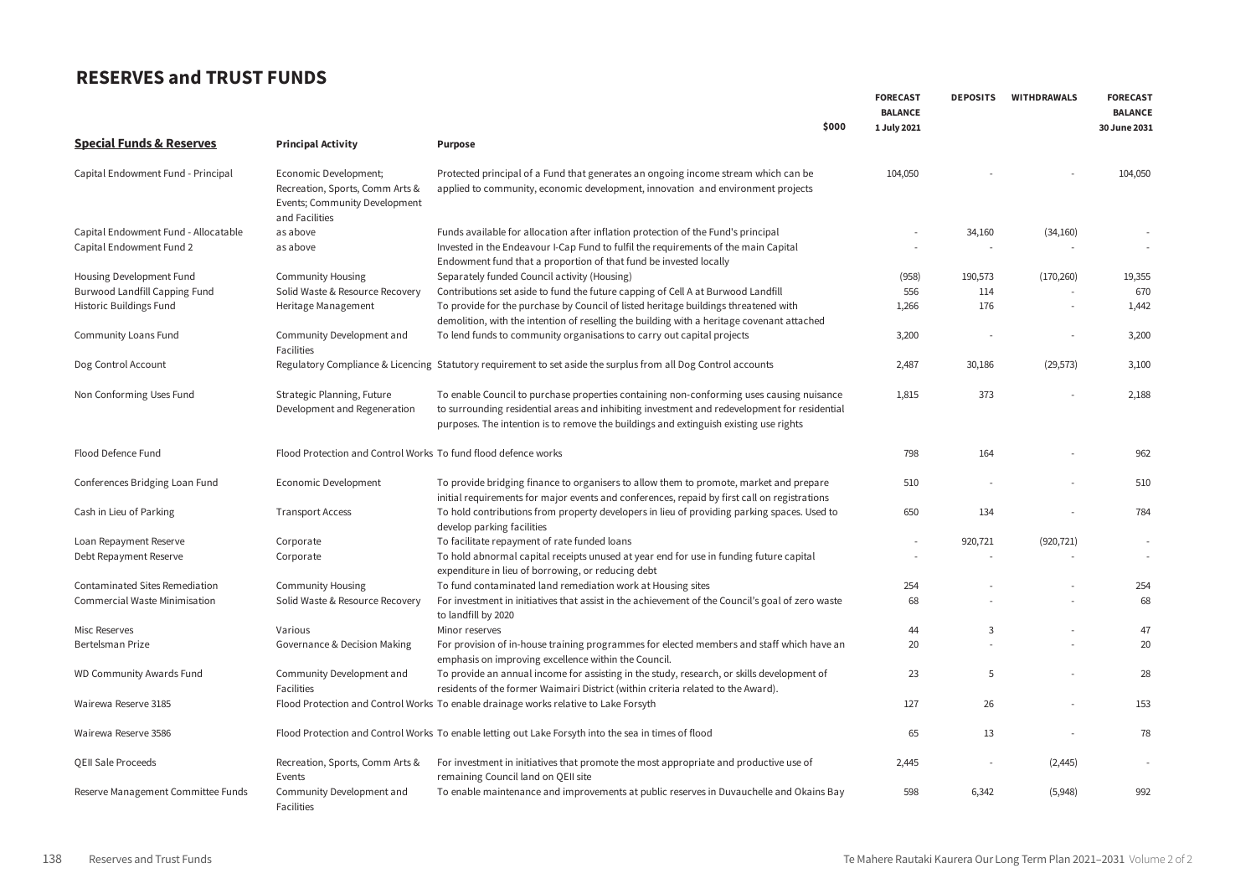## **RESERVES and TRUST FUNDS**

|                                      |                                                                                                             | \$000                                                                                                                                                                                                                                                                             | <b>FORECAST</b><br><b>BALANCE</b> | <b>DEPOSITS</b> | <b>WITHDRAWALS</b> | <b>FORECAST</b><br><b>BALANCE</b> |
|--------------------------------------|-------------------------------------------------------------------------------------------------------------|-----------------------------------------------------------------------------------------------------------------------------------------------------------------------------------------------------------------------------------------------------------------------------------|-----------------------------------|-----------------|--------------------|-----------------------------------|
| <b>Special Funds &amp; Reserves</b>  | <b>Principal Activity</b>                                                                                   | Purpose                                                                                                                                                                                                                                                                           | 1 July 2021                       |                 |                    | 30 June 2031                      |
|                                      |                                                                                                             |                                                                                                                                                                                                                                                                                   |                                   |                 |                    |                                   |
| Capital Endowment Fund - Principal   | Economic Development;<br>Recreation, Sports, Comm Arts &<br>Events; Community Development<br>and Facilities | Protected principal of a Fund that generates an ongoing income stream which can be<br>applied to community, economic development, innovation and environment projects                                                                                                             | 104,050                           |                 |                    | 104,050                           |
| Capital Endowment Fund - Allocatable | as above                                                                                                    | Funds available for allocation after inflation protection of the Fund's principal                                                                                                                                                                                                 |                                   | 34,160          | (34, 160)          |                                   |
| Capital Endowment Fund 2             | as above                                                                                                    | Invested in the Endeavour I-Cap Fund to fulfil the requirements of the main Capital<br>Endowment fund that a proportion of that fund be invested locally                                                                                                                          |                                   |                 |                    | $\overline{\phantom{a}}$          |
| Housing Development Fund             | <b>Community Housing</b>                                                                                    | Separately funded Council activity (Housing)                                                                                                                                                                                                                                      | (958)                             | 190,573         | (170, 260)         | 19,355                            |
| Burwood Landfill Capping Fund        | Solid Waste & Resource Recovery                                                                             | Contributions set aside to fund the future capping of Cell A at Burwood Landfill                                                                                                                                                                                                  | 556                               | 114             |                    | 670                               |
| Historic Buildings Fund              | Heritage Management                                                                                         | To provide for the purchase by Council of listed heritage buildings threatened with<br>demolition, with the intention of reselling the building with a heritage covenant attached                                                                                                 | 1,266                             | 176             |                    | 1,442                             |
| Community Loans Fund                 | Community Development and<br>Facilities                                                                     | To lend funds to community organisations to carry out capital projects                                                                                                                                                                                                            | 3,200                             |                 |                    | 3,200                             |
| Dog Control Account                  |                                                                                                             | Regulatory Compliance & Licencing Statutory requirement to set aside the surplus from all Dog Control accounts                                                                                                                                                                    | 2,487                             | 30,186          | (29, 573)          | 3,100                             |
| Non Conforming Uses Fund             | Strategic Planning, Future<br>Development and Regeneration                                                  | To enable Council to purchase properties containing non-conforming uses causing nuisance<br>to surrounding residential areas and inhibiting investment and redevelopment for residential<br>purposes. The intention is to remove the buildings and extinguish existing use rights | 1,815                             | 373             |                    | 2,188                             |
| Flood Defence Fund                   | Flood Protection and Control Works To fund flood defence works                                              |                                                                                                                                                                                                                                                                                   | 798                               | 164             |                    | 962                               |
| Conferences Bridging Loan Fund       | Economic Development                                                                                        | To provide bridging finance to organisers to allow them to promote, market and prepare<br>initial requirements for major events and conferences, repaid by first call on registrations                                                                                            | 510                               |                 |                    | 510                               |
| Cash in Lieu of Parking              | <b>Transport Access</b>                                                                                     | To hold contributions from property developers in lieu of providing parking spaces. Used to<br>develop parking facilities                                                                                                                                                         | 650                               | 134             |                    | 784                               |
| Loan Repayment Reserve               | Corporate                                                                                                   | To facilitate repayment of rate funded loans                                                                                                                                                                                                                                      |                                   | 920,721         | (920, 721)         | $\overline{\phantom{a}}$          |
| Debt Repayment Reserve               | Corporate                                                                                                   | To hold abnormal capital receipts unused at year end for use in funding future capital<br>expenditure in lieu of borrowing, or reducing debt                                                                                                                                      |                                   |                 |                    |                                   |
| Contaminated Sites Remediation       | <b>Community Housing</b>                                                                                    | To fund contaminated land remediation work at Housing sites                                                                                                                                                                                                                       | 254                               |                 |                    | 254                               |
| Commercial Waste Minimisation        | Solid Waste & Resource Recovery                                                                             | For investment in initiatives that assist in the achievement of the Council's goal of zero waste<br>to landfill by 2020                                                                                                                                                           | 68                                |                 |                    | 68                                |
| Misc Reserves                        | Various                                                                                                     | Minor reserves                                                                                                                                                                                                                                                                    | 44                                | 3               |                    | 47                                |
| Bertelsman Prize                     | Governance & Decision Making                                                                                | For provision of in-house training programmes for elected members and staff which have an<br>emphasis on improving excellence within the Council.                                                                                                                                 | 20                                |                 |                    | 20                                |
| <b>WD Community Awards Fund</b>      | Community Development and<br>Facilities                                                                     | To provide an annual income for assisting in the study, research, or skills development of<br>residents of the former Waimairi District (within criteria related to the Award).                                                                                                   | 23                                | 5               |                    | 28                                |
| Wairewa Reserve 3185                 |                                                                                                             | Flood Protection and Control Works To enable drainage works relative to Lake Forsyth                                                                                                                                                                                              | 127                               | 26              |                    | 153                               |
| Wairewa Reserve 3586                 |                                                                                                             | Flood Protection and Control Works To enable letting out Lake Forsyth into the sea in times of flood                                                                                                                                                                              | 65                                | 13              |                    | 78                                |
| QEII Sale Proceeds                   | Recreation, Sports, Comm Arts &<br>Events                                                                   | For investment in initiatives that promote the most appropriate and productive use of<br>remaining Council land on QEII site                                                                                                                                                      | 2,445                             |                 | (2,445)            |                                   |
| Reserve Management Committee Funds   | Community Development and<br>Facilities                                                                     | To enable maintenance and improvements at public reserves in Duvauchelle and Okains Bay                                                                                                                                                                                           | 598                               | 6.342           | (5,948)            | 992                               |